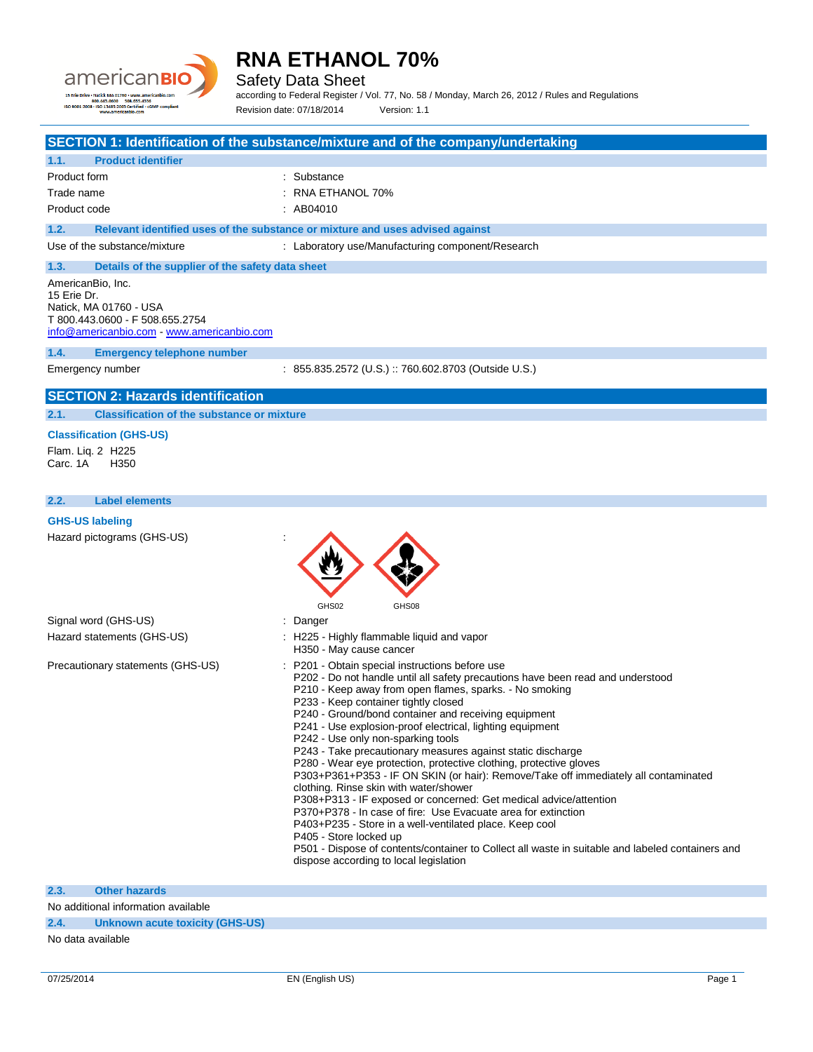

Safety Data Sheet

according to Federal Register / Vol. 77, No. 58 / Monday, March 26, 2012 / Rules and Regulations Revision date: 07/18/2014 Version: 1.1

|                                                                                                                                           | SECTION 1: Identification of the substance/mixture and of the company/undertaking                                                                                                                                                                                                                                                                                                                                                                                                                                                                                                                                                                                                                                                                                                                                                                                                                                                                                                                                                             |
|-------------------------------------------------------------------------------------------------------------------------------------------|-----------------------------------------------------------------------------------------------------------------------------------------------------------------------------------------------------------------------------------------------------------------------------------------------------------------------------------------------------------------------------------------------------------------------------------------------------------------------------------------------------------------------------------------------------------------------------------------------------------------------------------------------------------------------------------------------------------------------------------------------------------------------------------------------------------------------------------------------------------------------------------------------------------------------------------------------------------------------------------------------------------------------------------------------|
| <b>Product identifier</b><br>1.1.                                                                                                         |                                                                                                                                                                                                                                                                                                                                                                                                                                                                                                                                                                                                                                                                                                                                                                                                                                                                                                                                                                                                                                               |
| Product form                                                                                                                              | Substance                                                                                                                                                                                                                                                                                                                                                                                                                                                                                                                                                                                                                                                                                                                                                                                                                                                                                                                                                                                                                                     |
| Trade name                                                                                                                                | RNA ETHANOL 70%                                                                                                                                                                                                                                                                                                                                                                                                                                                                                                                                                                                                                                                                                                                                                                                                                                                                                                                                                                                                                               |
| Product code                                                                                                                              | : AB04010                                                                                                                                                                                                                                                                                                                                                                                                                                                                                                                                                                                                                                                                                                                                                                                                                                                                                                                                                                                                                                     |
| 1.2.                                                                                                                                      | Relevant identified uses of the substance or mixture and uses advised against                                                                                                                                                                                                                                                                                                                                                                                                                                                                                                                                                                                                                                                                                                                                                                                                                                                                                                                                                                 |
| Use of the substance/mixture                                                                                                              | : Laboratory use/Manufacturing component/Research                                                                                                                                                                                                                                                                                                                                                                                                                                                                                                                                                                                                                                                                                                                                                                                                                                                                                                                                                                                             |
| 1.3.<br>Details of the supplier of the safety data sheet                                                                                  |                                                                                                                                                                                                                                                                                                                                                                                                                                                                                                                                                                                                                                                                                                                                                                                                                                                                                                                                                                                                                                               |
| AmericanBio, Inc.<br>15 Erie Dr.<br>Natick, MA 01760 - USA<br>T 800.443.0600 - F 508.655.2754<br>info@americanbio.com www.americanbio.com |                                                                                                                                                                                                                                                                                                                                                                                                                                                                                                                                                                                                                                                                                                                                                                                                                                                                                                                                                                                                                                               |
| 1.4.<br><b>Emergency telephone number</b>                                                                                                 |                                                                                                                                                                                                                                                                                                                                                                                                                                                                                                                                                                                                                                                                                                                                                                                                                                                                                                                                                                                                                                               |
| Emergency number                                                                                                                          | : 855.835.2572 (U.S.) :: 760.602.8703 (Outside U.S.)                                                                                                                                                                                                                                                                                                                                                                                                                                                                                                                                                                                                                                                                                                                                                                                                                                                                                                                                                                                          |
| <b>SECTION 2: Hazards identification</b>                                                                                                  |                                                                                                                                                                                                                                                                                                                                                                                                                                                                                                                                                                                                                                                                                                                                                                                                                                                                                                                                                                                                                                               |
| <b>Classification of the substance or mixture</b><br>2.1.                                                                                 |                                                                                                                                                                                                                                                                                                                                                                                                                                                                                                                                                                                                                                                                                                                                                                                                                                                                                                                                                                                                                                               |
| <b>Classification (GHS-US)</b>                                                                                                            |                                                                                                                                                                                                                                                                                                                                                                                                                                                                                                                                                                                                                                                                                                                                                                                                                                                                                                                                                                                                                                               |
| Flam. Lig. 2 H225<br>Carc. 1A<br>H <sub>350</sub>                                                                                         |                                                                                                                                                                                                                                                                                                                                                                                                                                                                                                                                                                                                                                                                                                                                                                                                                                                                                                                                                                                                                                               |
| 2.2.<br><b>Label elements</b>                                                                                                             |                                                                                                                                                                                                                                                                                                                                                                                                                                                                                                                                                                                                                                                                                                                                                                                                                                                                                                                                                                                                                                               |
| <b>GHS-US labeling</b>                                                                                                                    |                                                                                                                                                                                                                                                                                                                                                                                                                                                                                                                                                                                                                                                                                                                                                                                                                                                                                                                                                                                                                                               |
| Hazard pictograms (GHS-US)                                                                                                                |                                                                                                                                                                                                                                                                                                                                                                                                                                                                                                                                                                                                                                                                                                                                                                                                                                                                                                                                                                                                                                               |
|                                                                                                                                           | GHS02<br>GHS08                                                                                                                                                                                                                                                                                                                                                                                                                                                                                                                                                                                                                                                                                                                                                                                                                                                                                                                                                                                                                                |
| Signal word (GHS-US)                                                                                                                      | Danger                                                                                                                                                                                                                                                                                                                                                                                                                                                                                                                                                                                                                                                                                                                                                                                                                                                                                                                                                                                                                                        |
| Hazard statements (GHS-US)                                                                                                                | H225 - Highly flammable liquid and vapor<br>H350 - May cause cancer                                                                                                                                                                                                                                                                                                                                                                                                                                                                                                                                                                                                                                                                                                                                                                                                                                                                                                                                                                           |
| Precautionary statements (GHS-US)                                                                                                         | P201 - Obtain special instructions before use<br>P202 - Do not handle until all safety precautions have been read and understood<br>P210 - Keep away from open flames, sparks. - No smoking<br>P233 - Keep container tightly closed<br>P240 - Ground/bond container and receiving equipment<br>P241 - Use explosion-proof electrical, lighting equipment<br>P242 - Use only non-sparking tools<br>P243 - Take precautionary measures against static discharge<br>P280 - Wear eye protection, protective clothing, protective gloves<br>P303+P361+P353 - IF ON SKIN (or hair): Remove/Take off immediately all contaminated<br>clothing. Rinse skin with water/shower<br>P308+P313 - IF exposed or concerned: Get medical advice/attention<br>P370+P378 - In case of fire: Use Evacuate area for extinction<br>P403+P235 - Store in a well-ventilated place. Keep cool<br>P405 - Store locked up<br>P501 - Dispose of contents/container to Collect all waste in suitable and labeled containers and<br>dispose according to local legislation |
|                                                                                                                                           |                                                                                                                                                                                                                                                                                                                                                                                                                                                                                                                                                                                                                                                                                                                                                                                                                                                                                                                                                                                                                                               |
| 2.3.<br><b>Other hazards</b>                                                                                                              |                                                                                                                                                                                                                                                                                                                                                                                                                                                                                                                                                                                                                                                                                                                                                                                                                                                                                                                                                                                                                                               |
| No additional information available                                                                                                       |                                                                                                                                                                                                                                                                                                                                                                                                                                                                                                                                                                                                                                                                                                                                                                                                                                                                                                                                                                                                                                               |

#### **2.4. Unknown acute toxicity (GHS-US)**

No data available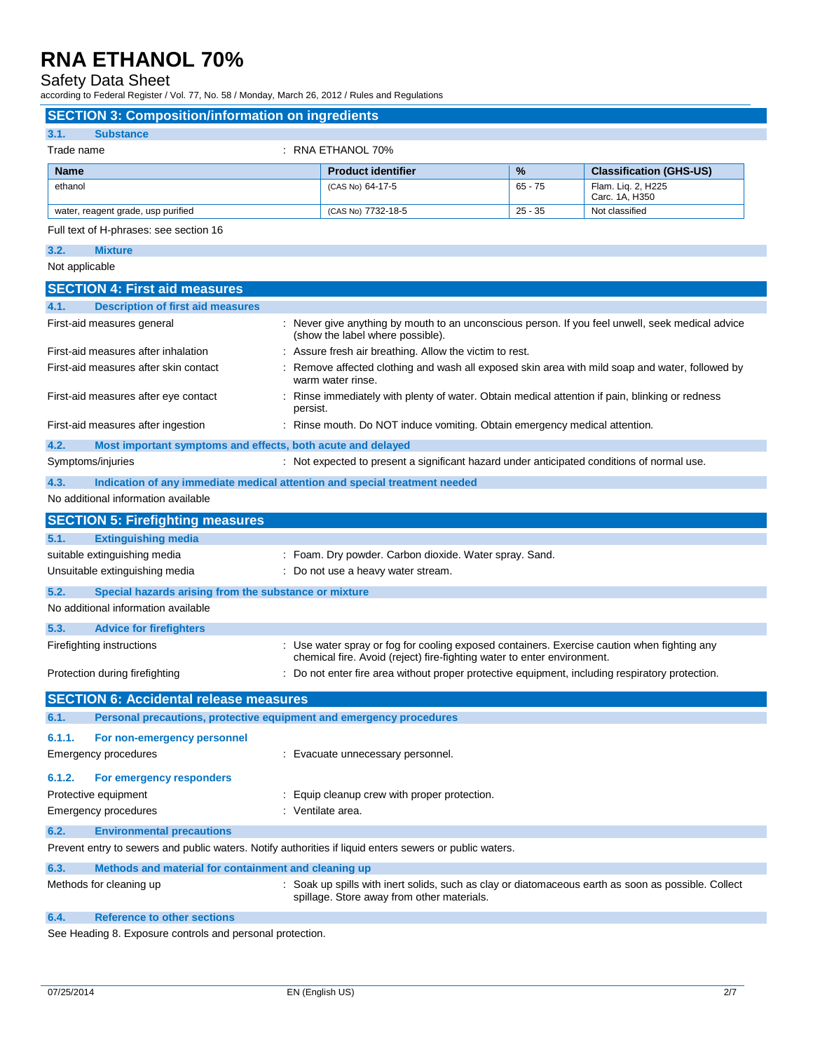Safety Data Sheet

| according to Federal Register / Vol. 77, No. 58 / Monday, March 26, 2012 / Rules and Regulations        |          |                                                                                            |           |                                                                                                  |
|---------------------------------------------------------------------------------------------------------|----------|--------------------------------------------------------------------------------------------|-----------|--------------------------------------------------------------------------------------------------|
| <b>SECTION 3: Composition/information on ingredients</b>                                                |          |                                                                                            |           |                                                                                                  |
| 3.1.<br><b>Substance</b>                                                                                |          |                                                                                            |           |                                                                                                  |
| Trade name                                                                                              |          | : RNA ETHANOL 70%                                                                          |           |                                                                                                  |
| Name                                                                                                    |          | <b>Product identifier</b>                                                                  | %         | <b>Classification (GHS-US)</b>                                                                   |
| ethanol                                                                                                 |          | (CAS No) 64-17-5                                                                           | $65 - 75$ | Flam. Liq. 2, H225<br>Carc. 1A, H350                                                             |
| water, reagent grade, usp purified                                                                      |          | (CAS No) 7732-18-5                                                                         | $25 - 35$ | Not classified                                                                                   |
| Full text of H-phrases: see section 16                                                                  |          |                                                                                            |           |                                                                                                  |
| 3.2.<br><b>Mixture</b>                                                                                  |          |                                                                                            |           |                                                                                                  |
| Not applicable                                                                                          |          |                                                                                            |           |                                                                                                  |
| <b>SECTION 4: First aid measures</b>                                                                    |          |                                                                                            |           |                                                                                                  |
| <b>Description of first aid measures</b><br>4.1.                                                        |          |                                                                                            |           |                                                                                                  |
| First-aid measures general                                                                              |          | (show the label where possible).                                                           |           | : Never give anything by mouth to an unconscious person. If you feel unwell, seek medical advice |
| First-aid measures after inhalation                                                                     |          | : Assure fresh air breathing. Allow the victim to rest.                                    |           |                                                                                                  |
| First-aid measures after skin contact                                                                   |          | warm water rinse.                                                                          |           | : Remove affected clothing and wash all exposed skin area with mild soap and water, followed by  |
| First-aid measures after eye contact                                                                    | persist. |                                                                                            |           | : Rinse immediately with plenty of water. Obtain medical attention if pain, blinking or redness  |
| First-aid measures after ingestion                                                                      |          | : Rinse mouth. Do NOT induce vomiting. Obtain emergency medical attention.                 |           |                                                                                                  |
| 4.2.<br>Most important symptoms and effects, both acute and delayed                                     |          |                                                                                            |           |                                                                                                  |
| Symptoms/injuries                                                                                       |          | : Not expected to present a significant hazard under anticipated conditions of normal use. |           |                                                                                                  |
| 4.3.<br>Indication of any immediate medical attention and special treatment needed                      |          |                                                                                            |           |                                                                                                  |
| No additional information available                                                                     |          |                                                                                            |           |                                                                                                  |
| <b>SECTION 5: Firefighting measures</b>                                                                 |          |                                                                                            |           |                                                                                                  |
| 5.1.<br><b>Extinguishing media</b>                                                                      |          |                                                                                            |           |                                                                                                  |
| suitable extinguishing media                                                                            |          | : Foam. Dry powder. Carbon dioxide. Water spray. Sand.                                     |           |                                                                                                  |
| Unsuitable extinguishing media                                                                          |          | : Do not use a heavy water stream.                                                         |           |                                                                                                  |
| 5.2.<br>Special hazards arising from the substance or mixture                                           |          |                                                                                            |           |                                                                                                  |
| No additional information available                                                                     |          |                                                                                            |           |                                                                                                  |
| 5.3.<br><b>Advice for firefighters</b>                                                                  |          |                                                                                            |           |                                                                                                  |
| Firefighting instructions                                                                               |          | chemical fire. Avoid (reject) fire-fighting water to enter environment.                    |           | : Use water spray or fog for cooling exposed containers. Exercise caution when fighting any      |
| Protection during firefighting                                                                          |          |                                                                                            |           | : Do not enter fire area without proper protective equipment, including respiratory protection.  |
| <b>SECTION 6: Accidental release measures</b>                                                           |          |                                                                                            |           |                                                                                                  |
| Personal precautions, protective equipment and emergency procedures<br>6.1.                             |          |                                                                                            |           |                                                                                                  |
| 6.1.1.<br>For non-emergency personnel                                                                   |          |                                                                                            |           |                                                                                                  |
| <b>Emergency procedures</b>                                                                             |          | : Evacuate unnecessary personnel.                                                          |           |                                                                                                  |
| 6.1.2.<br>For emergency responders                                                                      |          |                                                                                            |           |                                                                                                  |
| Protective equipment                                                                                    |          | : Equip cleanup crew with proper protection.                                               |           |                                                                                                  |
| <b>Emergency procedures</b>                                                                             |          | : Ventilate area.                                                                          |           |                                                                                                  |
| 6.2.<br><b>Environmental precautions</b>                                                                |          |                                                                                            |           |                                                                                                  |
| Prevent entry to sewers and public waters. Notify authorities if liquid enters sewers or public waters. |          |                                                                                            |           |                                                                                                  |
| 6.3.<br>Methods and material for containment and cleaning up                                            |          |                                                                                            |           |                                                                                                  |

Methods for cleaning up **intercal can- Example 1**: Soak up spills with inert solids, such as clay or diatomaceous earth as soon as possible. Collect spillage. Store away from other materials.

**6.4. Reference to other sections**

See Heading 8. Exposure controls and personal protection.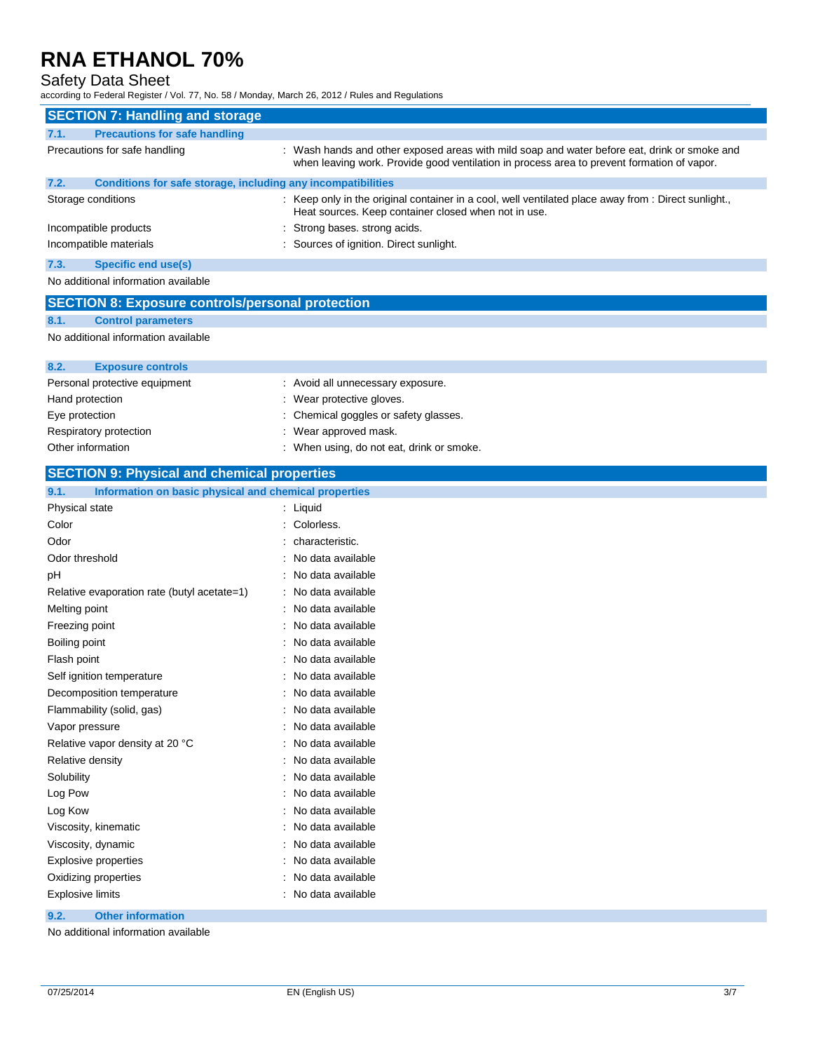# Safety Data Sheet<br>according to Federal Register / \

| according to Federal Register / Vol. 77, No. 58 / Monday, March 26, 2012 / Rules and Regulations |                                                                                                                                                                                            |  |  |
|--------------------------------------------------------------------------------------------------|--------------------------------------------------------------------------------------------------------------------------------------------------------------------------------------------|--|--|
| <b>SECTION 7: Handling and storage</b>                                                           |                                                                                                                                                                                            |  |  |
| <b>Precautions for safe handling</b><br>7.1.                                                     |                                                                                                                                                                                            |  |  |
| Precautions for safe handling                                                                    | : Wash hands and other exposed areas with mild soap and water before eat, drink or smoke and<br>when leaving work. Provide good ventilation in process area to prevent formation of vapor. |  |  |
| 7.2.<br>Conditions for safe storage, including any incompatibilities                             |                                                                                                                                                                                            |  |  |
| Storage conditions                                                                               | : Keep only in the original container in a cool, well ventilated place away from : Direct sunlight.,<br>Heat sources. Keep container closed when not in use.                               |  |  |
| Incompatible products                                                                            | : Strong bases. strong acids.                                                                                                                                                              |  |  |
| Incompatible materials                                                                           | : Sources of ignition. Direct sunlight.                                                                                                                                                    |  |  |
| 7.3.<br><b>Specific end use(s)</b>                                                               |                                                                                                                                                                                            |  |  |
| No additional information available                                                              |                                                                                                                                                                                            |  |  |
| <b>SECTION 8: Exposure controls/personal protection</b>                                          |                                                                                                                                                                                            |  |  |
| 8.1.<br><b>Control parameters</b>                                                                |                                                                                                                                                                                            |  |  |
| No additional information available                                                              |                                                                                                                                                                                            |  |  |
| 8.2.<br><b>Exposure controls</b>                                                                 |                                                                                                                                                                                            |  |  |
| Personal protective equipment                                                                    | : Avoid all unnecessary exposure.                                                                                                                                                          |  |  |
| Hand protection                                                                                  | : Wear protective gloves.                                                                                                                                                                  |  |  |
| Eye protection<br>Respiratory protection                                                         | Chemical goggles or safety glasses.<br>Wear approved mask.                                                                                                                                 |  |  |
| Other information                                                                                | : When using, do not eat, drink or smoke.                                                                                                                                                  |  |  |
| <b>SECTION 9: Physical and chemical properties</b>                                               |                                                                                                                                                                                            |  |  |
| Information on basic physical and chemical properties<br>9.1.                                    |                                                                                                                                                                                            |  |  |
| Physical state                                                                                   | : Liquid                                                                                                                                                                                   |  |  |
| Color                                                                                            | : Colorless.                                                                                                                                                                               |  |  |
| Odor                                                                                             | characteristic.                                                                                                                                                                            |  |  |
| Odor threshold                                                                                   | No data available                                                                                                                                                                          |  |  |
| рH                                                                                               | No data available                                                                                                                                                                          |  |  |
| Relative evaporation rate (butyl acetate=1)                                                      | : No data available                                                                                                                                                                        |  |  |
| Melting point                                                                                    | : No data available                                                                                                                                                                        |  |  |
| Freezing point                                                                                   | No data available                                                                                                                                                                          |  |  |
| Boiling point                                                                                    | No data available                                                                                                                                                                          |  |  |
| Flash point                                                                                      | No data available                                                                                                                                                                          |  |  |
| Self ignition temperature                                                                        | : No data available                                                                                                                                                                        |  |  |
| Decomposition temperature                                                                        | : No data available                                                                                                                                                                        |  |  |
| Flammability (solid, gas)                                                                        | : No data available                                                                                                                                                                        |  |  |
| Vapor pressure                                                                                   | : No data available                                                                                                                                                                        |  |  |
| Relative vapor density at 20 °C                                                                  | : No data available                                                                                                                                                                        |  |  |
| Relative density                                                                                 | : No data available                                                                                                                                                                        |  |  |
| Solubility                                                                                       | : No data available                                                                                                                                                                        |  |  |
| Log Pow                                                                                          | : No data available                                                                                                                                                                        |  |  |
| Log Kow                                                                                          | : No data available                                                                                                                                                                        |  |  |
| Viscosity, kinematic                                                                             | : No data available                                                                                                                                                                        |  |  |
| Viscosity, dynamic                                                                               | : No data available                                                                                                                                                                        |  |  |
| <b>Explosive properties</b>                                                                      | : No data available                                                                                                                                                                        |  |  |
| Oxidizing properties                                                                             | : No data available                                                                                                                                                                        |  |  |
| <b>Explosive limits</b>                                                                          | : No data available                                                                                                                                                                        |  |  |

#### **9.2. Other information**

No additional information available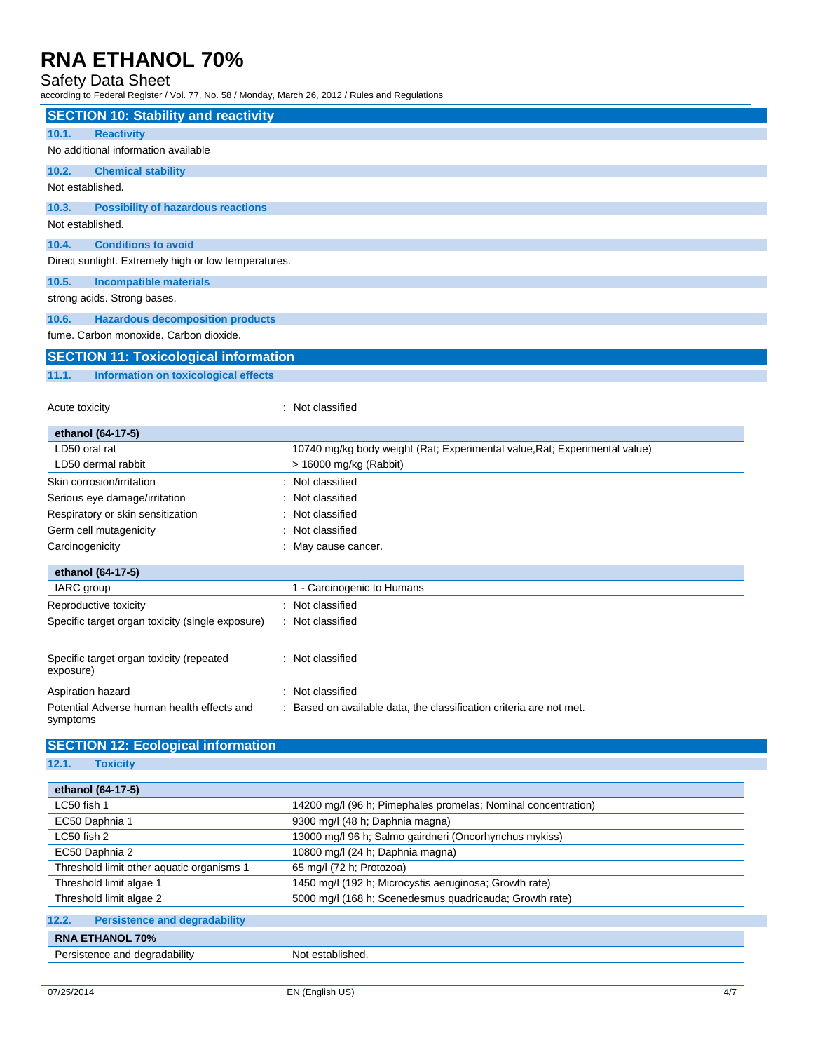### Safety Data Sheet

according to Federal Register / Vol. 77, No. 58 / Monday, March 26, 2012 / Rules and Regulations

|                                                      | <b>SECTION 10: Stability and reactivity</b> |  |  |
|------------------------------------------------------|---------------------------------------------|--|--|
| 10.1.                                                | <b>Reactivity</b>                           |  |  |
|                                                      | No additional information available         |  |  |
| 10.2.                                                | <b>Chemical stability</b>                   |  |  |
| Not established.                                     |                                             |  |  |
| 10.3.                                                | <b>Possibility of hazardous reactions</b>   |  |  |
| Not established.                                     |                                             |  |  |
| 10.4.                                                | <b>Conditions to avoid</b>                  |  |  |
| Direct sunlight. Extremely high or low temperatures. |                                             |  |  |
| 10.5.                                                | <b>Incompatible materials</b>               |  |  |
| strong acids. Strong bases.                          |                                             |  |  |
| 10.6.                                                | <b>Hazardous decomposition products</b>     |  |  |
| fume. Carbon monoxide. Carbon dioxide.               |                                             |  |  |
|                                                      | <b>Contract Contract</b>                    |  |  |

## **SECTION 11: Toxicological information**

### **11.1. Information on toxicological effects**

Acute toxicity **in the case of the CALIC CONTEX Not classified** : Not classified

| ethanol (64-17-5)                                      |                                                                            |
|--------------------------------------------------------|----------------------------------------------------------------------------|
| LD50 oral rat                                          | 10740 mg/kg body weight (Rat; Experimental value, Rat; Experimental value) |
| LD50 dermal rabbit                                     | $>$ 16000 mg/kg (Rabbit)                                                   |
| Skin corrosion/irritation                              | Not classified                                                             |
| Serious eye damage/irritation                          | Not classified                                                             |
| Respiratory or skin sensitization                      | Not classified                                                             |
| Germ cell mutagenicity                                 | Not classified                                                             |
| Carcinogenicity                                        | May cause cancer.                                                          |
| ethanol (64-17-5)                                      |                                                                            |
| IARC group                                             | 1 - Carcinogenic to Humans                                                 |
| Reproductive toxicity                                  | : Not classified                                                           |
| Specific target organ toxicity (single exposure)       | : Not classified                                                           |
| Specific target organ toxicity (repeated<br>exposure)  | Not classified<br>۰.                                                       |
| Aspiration hazard                                      | Not classified<br>÷                                                        |
| Potential Adverse human health effects and<br>symptoms | Based on available data, the classification criteria are not met.          |

## **SECTION 12: Ecological information**

**12.1. Toxicity**

| ethanol (64-17-5)                             |                                                               |
|-----------------------------------------------|---------------------------------------------------------------|
| LC50 fish 1                                   | 14200 mg/l (96 h; Pimephales promelas; Nominal concentration) |
| EC50 Daphnia 1                                | 9300 mg/l (48 h; Daphnia magna)                               |
| LC50 fish 2                                   | 13000 mg/l 96 h; Salmo gairdneri (Oncorhynchus mykiss)        |
| EC50 Daphnia 2                                | 10800 mg/l (24 h; Daphnia magna)                              |
| Threshold limit other aquatic organisms 1     | 65 mg/l (72 h; Protozoa)                                      |
| Threshold limit algae 1                       | 1450 mg/l (192 h; Microcystis aeruginosa; Growth rate)        |
| Threshold limit algae 2                       | 5000 mg/l (168 h; Scenedesmus quadricauda; Growth rate)       |
| <b>Persistence and degradability</b><br>12.2. |                                                               |
| <b>RNA ETHANOL 70%</b>                        |                                                               |
| Persistence and degradability                 | Not established.                                              |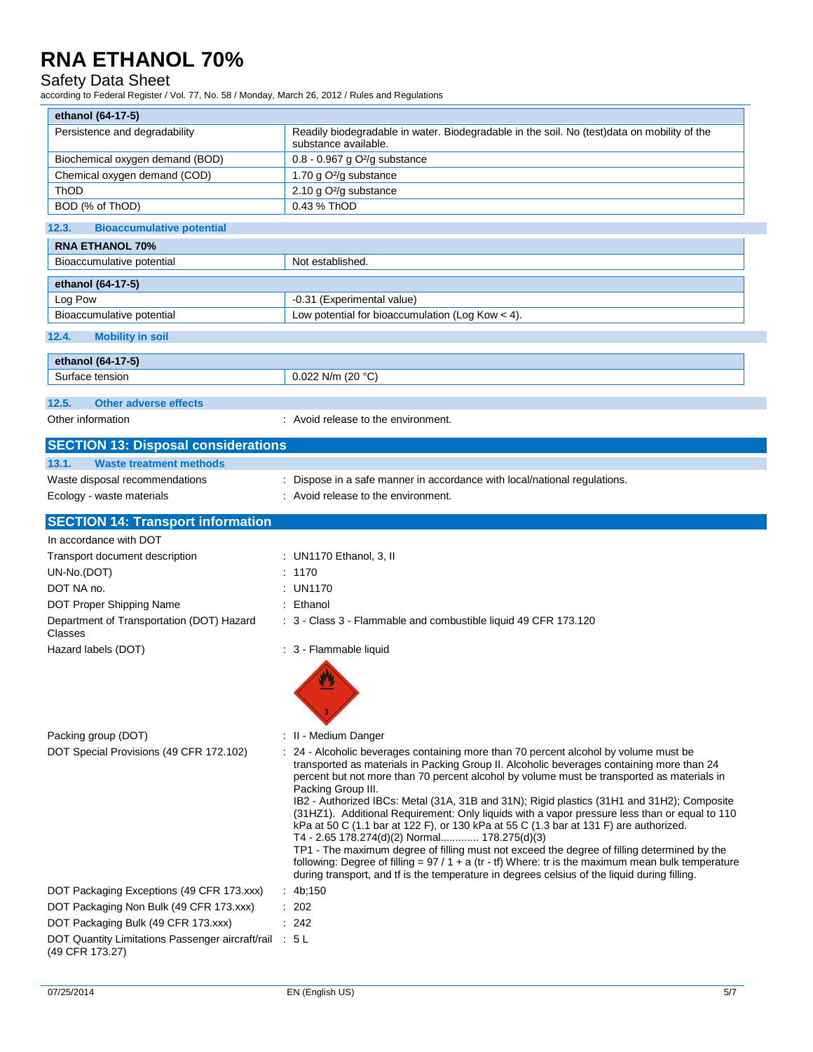## Safety Data Sheet

according to Federal Register / Vol. 77, No. 58 / Monday, March 26, 2012 / Rules and Regulations

| ethanol (64-17-5)                                                         |                                                                                                                                                                                                                                                                                                                                                                                                                                                                                                                                                                                                                                                                                                                                                                                                                                                                                                                                                    |
|---------------------------------------------------------------------------|----------------------------------------------------------------------------------------------------------------------------------------------------------------------------------------------------------------------------------------------------------------------------------------------------------------------------------------------------------------------------------------------------------------------------------------------------------------------------------------------------------------------------------------------------------------------------------------------------------------------------------------------------------------------------------------------------------------------------------------------------------------------------------------------------------------------------------------------------------------------------------------------------------------------------------------------------|
| Persistence and degradability                                             | Readily biodegradable in water. Biodegradable in the soil. No (test)data on mobility of the<br>substance available.                                                                                                                                                                                                                                                                                                                                                                                                                                                                                                                                                                                                                                                                                                                                                                                                                                |
| Biochemical oxygen demand (BOD)                                           | 0.8 - 0.967 g O <sup>2</sup> /g substance                                                                                                                                                                                                                                                                                                                                                                                                                                                                                                                                                                                                                                                                                                                                                                                                                                                                                                          |
| Chemical oxygen demand (COD)                                              | 1.70 g O <sup>2</sup> /g substance                                                                                                                                                                                                                                                                                                                                                                                                                                                                                                                                                                                                                                                                                                                                                                                                                                                                                                                 |
| ThOD                                                                      | 2.10 g O <sup>2</sup> /g substance                                                                                                                                                                                                                                                                                                                                                                                                                                                                                                                                                                                                                                                                                                                                                                                                                                                                                                                 |
| BOD (% of ThOD)                                                           | 0.43 % ThOD                                                                                                                                                                                                                                                                                                                                                                                                                                                                                                                                                                                                                                                                                                                                                                                                                                                                                                                                        |
| 12.3.<br><b>Bioaccumulative potential</b>                                 |                                                                                                                                                                                                                                                                                                                                                                                                                                                                                                                                                                                                                                                                                                                                                                                                                                                                                                                                                    |
| <b>RNA ETHANOL 70%</b>                                                    |                                                                                                                                                                                                                                                                                                                                                                                                                                                                                                                                                                                                                                                                                                                                                                                                                                                                                                                                                    |
| Bioaccumulative potential                                                 | Not established.                                                                                                                                                                                                                                                                                                                                                                                                                                                                                                                                                                                                                                                                                                                                                                                                                                                                                                                                   |
| ethanol (64-17-5)                                                         |                                                                                                                                                                                                                                                                                                                                                                                                                                                                                                                                                                                                                                                                                                                                                                                                                                                                                                                                                    |
| Log Pow                                                                   | -0.31 (Experimental value)                                                                                                                                                                                                                                                                                                                                                                                                                                                                                                                                                                                                                                                                                                                                                                                                                                                                                                                         |
| Bioaccumulative potential                                                 | Low potential for bioaccumulation (Log Kow $<$ 4).                                                                                                                                                                                                                                                                                                                                                                                                                                                                                                                                                                                                                                                                                                                                                                                                                                                                                                 |
| 12.4.<br><b>Mobility in soil</b>                                          |                                                                                                                                                                                                                                                                                                                                                                                                                                                                                                                                                                                                                                                                                                                                                                                                                                                                                                                                                    |
| ethanol (64-17-5)                                                         |                                                                                                                                                                                                                                                                                                                                                                                                                                                                                                                                                                                                                                                                                                                                                                                                                                                                                                                                                    |
| Surface tension                                                           | 0.022 N/m (20 $°C$ )                                                                                                                                                                                                                                                                                                                                                                                                                                                                                                                                                                                                                                                                                                                                                                                                                                                                                                                               |
| 12.5.                                                                     |                                                                                                                                                                                                                                                                                                                                                                                                                                                                                                                                                                                                                                                                                                                                                                                                                                                                                                                                                    |
| <b>Other adverse effects</b>                                              |                                                                                                                                                                                                                                                                                                                                                                                                                                                                                                                                                                                                                                                                                                                                                                                                                                                                                                                                                    |
| Other information                                                         | : Avoid release to the environment.                                                                                                                                                                                                                                                                                                                                                                                                                                                                                                                                                                                                                                                                                                                                                                                                                                                                                                                |
| <b>SECTION 13: Disposal considerations</b>                                |                                                                                                                                                                                                                                                                                                                                                                                                                                                                                                                                                                                                                                                                                                                                                                                                                                                                                                                                                    |
| 13.1.<br><b>Waste treatment methods</b>                                   |                                                                                                                                                                                                                                                                                                                                                                                                                                                                                                                                                                                                                                                                                                                                                                                                                                                                                                                                                    |
| Waste disposal recommendations                                            | : Dispose in a safe manner in accordance with local/national regulations.                                                                                                                                                                                                                                                                                                                                                                                                                                                                                                                                                                                                                                                                                                                                                                                                                                                                          |
| Ecology - waste materials                                                 | : Avoid release to the environment.                                                                                                                                                                                                                                                                                                                                                                                                                                                                                                                                                                                                                                                                                                                                                                                                                                                                                                                |
| <b>SECTION 14: Transport information</b>                                  |                                                                                                                                                                                                                                                                                                                                                                                                                                                                                                                                                                                                                                                                                                                                                                                                                                                                                                                                                    |
| In accordance with DOT                                                    |                                                                                                                                                                                                                                                                                                                                                                                                                                                                                                                                                                                                                                                                                                                                                                                                                                                                                                                                                    |
| Transport document description                                            | : UN1170 Ethanol, 3, II                                                                                                                                                                                                                                                                                                                                                                                                                                                                                                                                                                                                                                                                                                                                                                                                                                                                                                                            |
| UN-No.(DOT)                                                               | : 1170                                                                                                                                                                                                                                                                                                                                                                                                                                                                                                                                                                                                                                                                                                                                                                                                                                                                                                                                             |
| DOT NA no.                                                                | : UN1170                                                                                                                                                                                                                                                                                                                                                                                                                                                                                                                                                                                                                                                                                                                                                                                                                                                                                                                                           |
| DOT Proper Shipping Name                                                  | : Ethanol                                                                                                                                                                                                                                                                                                                                                                                                                                                                                                                                                                                                                                                                                                                                                                                                                                                                                                                                          |
| Department of Transportation (DOT) Hazard<br>Classes                      | : 3 - Class 3 - Flammable and combustible liquid 49 CFR 173.120                                                                                                                                                                                                                                                                                                                                                                                                                                                                                                                                                                                                                                                                                                                                                                                                                                                                                    |
| Hazard labels (DOT)                                                       | : 3 - Flammable liquid                                                                                                                                                                                                                                                                                                                                                                                                                                                                                                                                                                                                                                                                                                                                                                                                                                                                                                                             |
|                                                                           | 3                                                                                                                                                                                                                                                                                                                                                                                                                                                                                                                                                                                                                                                                                                                                                                                                                                                                                                                                                  |
| Packing group (DOT)                                                       | : II - Medium Danger                                                                                                                                                                                                                                                                                                                                                                                                                                                                                                                                                                                                                                                                                                                                                                                                                                                                                                                               |
| DOT Special Provisions (49 CFR 172.102)                                   | : 24 - Alcoholic beverages containing more than 70 percent alcohol by volume must be<br>transported as materials in Packing Group II. Alcoholic beverages containing more than 24<br>percent but not more than 70 percent alcohol by volume must be transported as materials in<br>Packing Group III.<br>IB2 - Authorized IBCs: Metal (31A, 31B and 31N); Rigid plastics (31H1 and 31H2); Composite<br>(31HZ1). Additional Requirement: Only liquids with a vapor pressure less than or equal to 110<br>kPa at 50 C (1.1 bar at 122 F), or 130 kPa at 55 C (1.3 bar at 131 F) are authorized.<br>T4 - 2.65 178.274(d)(2) Normal 178.275(d)(3)<br>TP1 - The maximum degree of filling must not exceed the degree of filling determined by the<br>following: Degree of filling = $97/1 + a$ (tr - tf) Where: tr is the maximum mean bulk temperature<br>during transport, and tf is the temperature in degrees celsius of the liquid during filling. |
| DOT Packaging Exceptions (49 CFR 173.xxx)                                 | : $4b;150$                                                                                                                                                                                                                                                                                                                                                                                                                                                                                                                                                                                                                                                                                                                                                                                                                                                                                                                                         |
| DOT Packaging Non Bulk (49 CFR 173.xxx)                                   | $\therefore$ 202                                                                                                                                                                                                                                                                                                                                                                                                                                                                                                                                                                                                                                                                                                                                                                                                                                                                                                                                   |
| DOT Packaging Bulk (49 CFR 173.xxx)                                       | : 242                                                                                                                                                                                                                                                                                                                                                                                                                                                                                                                                                                                                                                                                                                                                                                                                                                                                                                                                              |
| DOT Quantity Limitations Passenger aircraft/rail : 5 L<br>(49 CFR 173.27) |                                                                                                                                                                                                                                                                                                                                                                                                                                                                                                                                                                                                                                                                                                                                                                                                                                                                                                                                                    |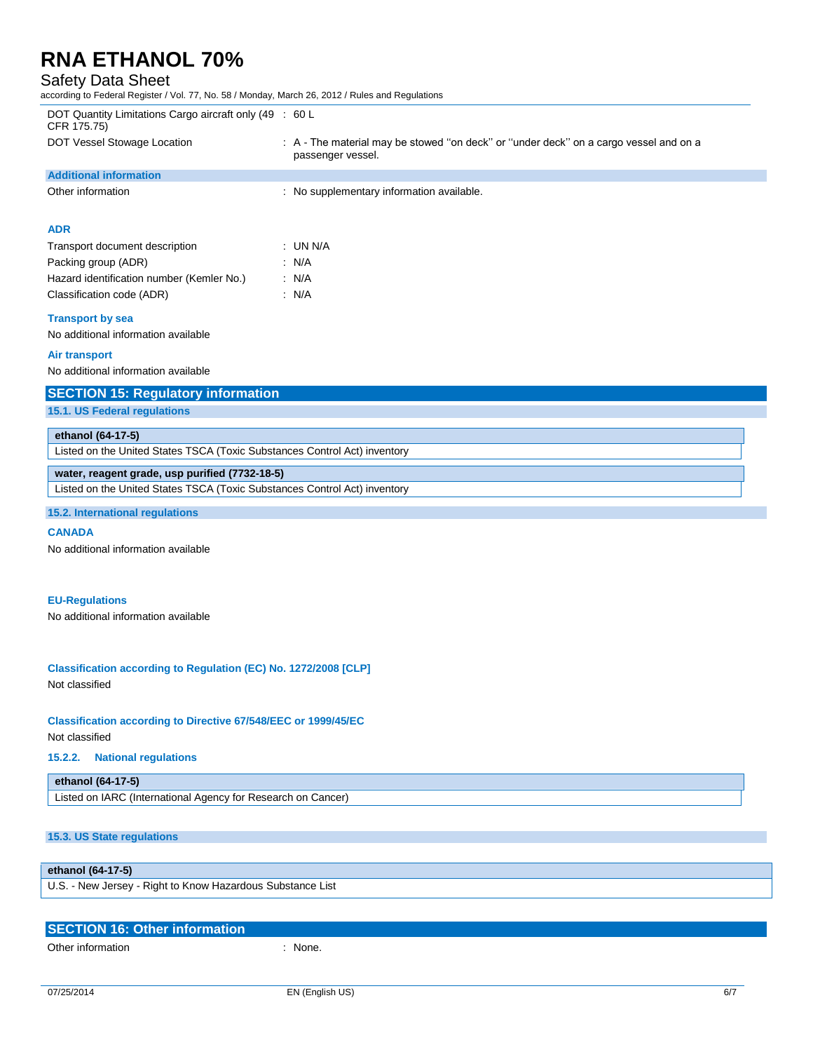### Safety Data Sheet

according to Federal Register / Vol. 77, No. 58 / Monday, March 26, 2012 / Rules and Regulations

| DOT Quantity Limitations Cargo aircraft only (49 : 60 L<br>CFR 175.75) |                                                                                                            |
|------------------------------------------------------------------------|------------------------------------------------------------------------------------------------------------|
| DOT Vessel Stowage Location                                            | : A - The material may be stowed "on deck" or "under deck" on a cargo vessel and on a<br>passenger vessel. |
| <b>Additional information</b>                                          |                                                                                                            |
| Other information                                                      | : No supplementary information available.                                                                  |
|                                                                        |                                                                                                            |
| <b>ADR</b>                                                             |                                                                                                            |
| Transport document description                                         | : UN N/A                                                                                                   |
| Packing group (ADR)                                                    | : N/A                                                                                                      |
| Hazard identification number (Kemler No.)                              | : N/A                                                                                                      |
| Classification code (ADR)                                              | : $N/A$                                                                                                    |
| <b>Transport by sea</b>                                                |                                                                                                            |
| No additional information available                                    |                                                                                                            |
| Air transport                                                          |                                                                                                            |
| الملطا والمسارم والمتحاول ومستملك والمستحلفا الملامس والملا            |                                                                                                            |

No additional information available

### **SECTION 15: Regulatory information**

**15.1. US Federal regulations**

### **ethanol (64-17-5)**

Listed on the United States TSCA (Toxic Substances Control Act) inventory

### **water, reagent grade, usp purified (7732-18-5)**

Listed on the United States TSCA (Toxic Substances Control Act) inventory

#### **15.2. International regulations**

#### **CANADA**

No additional information available

#### **EU-Regulations**

No additional information available

#### **Classification according to Regulation (EC) No. 1272/2008 [CLP]** Not classified

#### **Classification according to Directive 67/548/EEC or 1999/45/EC**

Not classified

#### **15.2.2. National regulations**

#### **ethanol (64-17-5)**

Listed on IARC (International Agency for Research on Cancer)

### **15.3. US State regulations**

#### **ethanol (64-17-5)**

U.S. - New Jersey - Right to Know Hazardous Substance List

| <b>SECTION 16: Other information</b> |       |
|--------------------------------------|-------|
| Other information                    | None. |